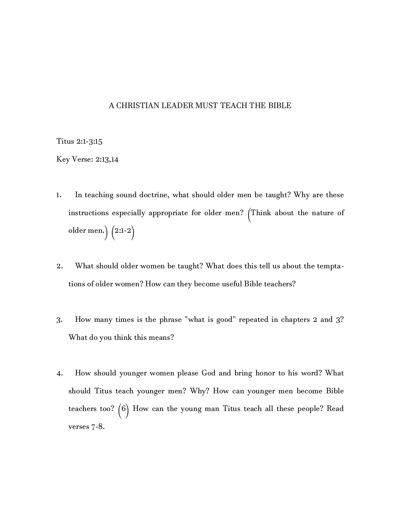## A CHRISTIAN LEADER MUST TEACH THE BIBLE

Titus 2:1-3:15

Key Verse: 2:13,14

- 1. In teaching sound doctrine, what should older men be taught? Why are these instructions especially appropriate for older men? (Think about the nature of older men.) (2:1-2)
- 2. What should older women be taught? What does this tell us about the temptations of older women? How can they become useful Bible teachers?
- 3. How many times is the phrase "what is good" repeated in chapters 2 and 3? What do you think this means?
- 4. How should younger women please God and bring honor to his word? What should Titus teach younger men? Why? How can younger men become Bible teachers too? (6) How can the young man Titus teach all these people? Read verses 7-8.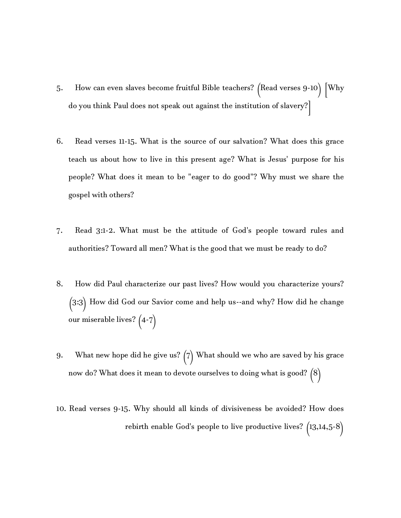- 5. How can even slaves become fruitful Bible teachers? (Read verses 9-10) [Why do you think Paul does not speak out against the institution of slavery?]
- 6. Read verses 11-15. What is the source of our salvation? What does this grace teach us about how to live in this present age? What is Jesus' purpose for his people? What does it mean to be "eager to do good"? Why must we share the gospel with others?
- 7. Read 3:1-2. What must be the attitude of God's people toward rules and authorities? Toward all men? What is the good that we must be ready to do?
- 8. How did Paul characterize our past lives? How would you characterize yours? (3:3) How did God our Savior come and help us--and why? How did he change our miserable lives? (4-7)
- 9. What new hope did he give us?  $(7)$  What should we who are saved by his grace now do? What does it mean to devote ourselves to doing what is good? (8)
- 10. Read verses 9-15. Why should all kinds of divisiveness be avoided? How does rebirth enable God's people to live productive lives? (13,14,5-8)